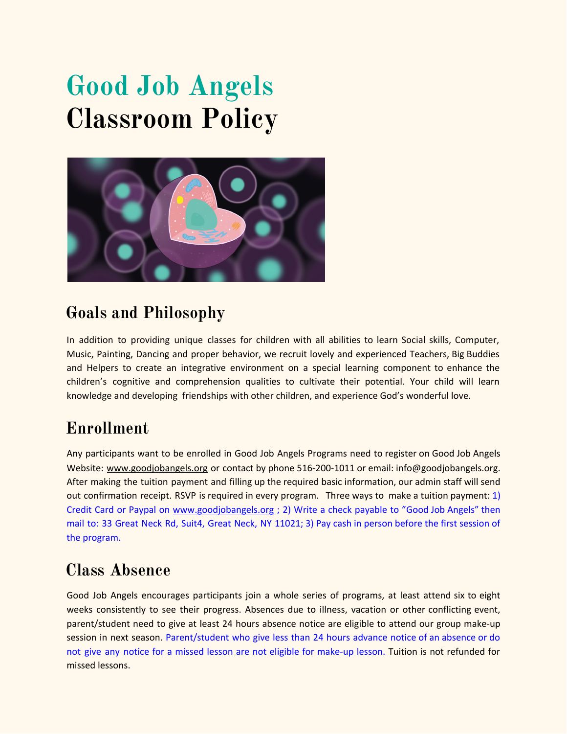# **Good Job Angels Classroom Policy**



## **Goals and Philosophy**

In addition to providing unique classes for children with all abilities to learn Social skills, Computer, Music, Painting, Dancing and proper behavior, we recruit lovely and experienced Teachers, Big Buddies and Helpers to create an integrative environment on a special learning component to enhance the children's cognitive and comprehension qualities to cultivate their potential. Your child will learn knowledge and developing friendships with other children, and experience God's wonderful love.

## **Enrollment**

Any participants want to be enrolled in Good Job Angels Programs need to register on Good Job Angels Website: [www.goodjobangels.org](http://www.goodjobangels.org/) or contact by phone 516-200-1011 or email: info@goodjobangels.org. After making the tuition payment and filling up the required basic information, our admin staff will send out confirmation receipt. RSVP is required in every program. Three ways to make a tuition payment: 1) Credit Card or Paypal on [www.goodjobangels.org](http://www.goodjobangels.org/) ; 2) Write a check payable to "Good Job Angels" then mail to: 33 Great Neck Rd, Suit4, Great Neck, NY 11021; 3) Pay cash in person before the first session of the program.

## **Class Absence**

Good Job Angels encourages participants join a whole series of programs, at least attend six to eight weeks consistently to see their progress. Absences due to illness, vacation or other conflicting event, parent/student need to give at least 24 hours absence notice are eligible to attend our group make-up session in next season. Parent/student who give less than 24 hours advance notice of an absence or do not give any notice for a missed lesson are not eligible for make-up lesson. Tuition is not refunded for missed lessons.